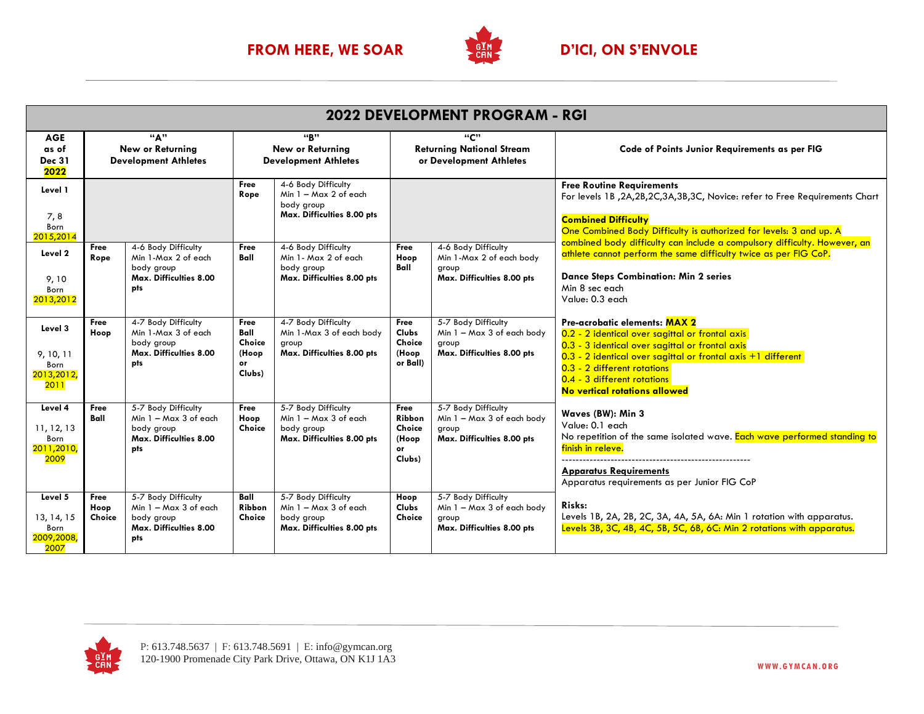

| 2022 DEVELOPMENT PROGRAM - RGI                      |                                                               |                                                                                                  |                                                               |                                                                                          |                                                                    |                                                                                          |                                                                                                                                                                                                                                                                                                        |  |
|-----------------------------------------------------|---------------------------------------------------------------|--------------------------------------------------------------------------------------------------|---------------------------------------------------------------|------------------------------------------------------------------------------------------|--------------------------------------------------------------------|------------------------------------------------------------------------------------------|--------------------------------------------------------------------------------------------------------------------------------------------------------------------------------------------------------------------------------------------------------------------------------------------------------|--|
| <b>AGE</b><br>as of<br><b>Dec 31</b><br>2022        | "^^<br><b>New or Returning</b><br><b>Development Athletes</b> |                                                                                                  | "R"<br><b>New or Returning</b><br><b>Development Athletes</b> |                                                                                          | "C"<br><b>Returning National Stream</b><br>or Development Athletes |                                                                                          | Code of Points Junior Requirements as per FIG                                                                                                                                                                                                                                                          |  |
| Level 1<br>7,8<br>Born<br>2015,2014                 |                                                               |                                                                                                  | Free<br>Rope                                                  | 4-6 Body Difficulty<br>Min 1 - Max 2 of each<br>body group<br>Max. Difficulties 8.00 pts |                                                                    |                                                                                          | <b>Free Routine Requirements</b><br>For levels 1B, 2A, 2B, 2C, 3A, 3B, 3C, Novice: refer to Free Requirements Chart<br><b>Combined Difficulty</b><br>One Combined Body Difficulty is authorized for levels: 3 and up. A                                                                                |  |
| Level 2<br>9,10<br>Born<br>2013,2012                | Free<br>Rope                                                  | 4-6 Body Difficulty<br>Min 1-Max 2 of each<br>body group<br>Max. Difficulties 8.00<br>pts        | Free<br>Ball                                                  | 4-6 Body Difficulty<br>Min 1 - Max 2 of each<br>body group<br>Max. Difficulties 8.00 pts | Free<br>Hoop<br>Ball                                               | 4-6 Body Difficulty<br>Min 1-Max 2 of each body<br>group<br>Max. Difficulties 8.00 pts   | combined body difficulty can include a compulsory difficulty. However, an<br>athlete cannot perform the same difficulty twice as per FIG CoP.<br><b>Dance Steps Combination: Min 2 series</b><br>Min 8 sec each<br>Value: 0.3 each                                                                     |  |
| Level 3<br>9, 10, 11<br>Born<br>2013, 2012,<br>2011 | Free<br>Hoop                                                  | 4-7 Body Difficulty<br>Min 1-Max 3 of each<br>body group<br><b>Max. Difficulties 8.00</b><br>pts | Free<br>Ball<br>Choice<br>(Hoop<br>or<br>Clubs)               | 4-7 Body Difficulty<br>Min 1-Max 3 of each body<br>group<br>Max. Difficulties 8.00 pts   | Free<br><b>Clubs</b><br>Choice<br>(Hoop<br>or Ball)                | 5-7 Body Difficulty<br>Min 1 - Max 3 of each body<br>group<br>Max. Difficulties 8.00 pts | Pre-acrobatic elements: MAX 2<br>0.2 - 2 identical over sagittal or frontal axis<br>0.3 - 3 identical over sagittal or frontal axis<br>$0.3$ - 2 identical over sagittal or frontal axis $+1$ different<br>0.3 - 2 different rotations<br>0.4 - 3 different rotations<br>No vertical rotations allowed |  |
| Level 4<br>11, 12, 13<br>Born<br>2011,2010,<br>2009 | Free<br>Ball                                                  | 5-7 Body Difficulty<br>Min $1 - Max 3$ of each<br>body group<br>Max. Difficulties 8.00<br>pts    | Free<br>Hoop<br>Choice                                        | 5-7 Body Difficulty<br>Min 1 - Max 3 of each<br>body group<br>Max. Difficulties 8.00 pts | Free<br>Ribbon<br>Choice<br>(Hoop<br>or<br>Clubs)                  | 5-7 Body Difficulty<br>Min 1 - Max 3 of each body<br>group<br>Max. Difficulties 8.00 pts | Waves (BW): Min 3<br>Value: 0.1 each<br>No repetition of the same isolated wave. Each wave performed standing to<br>finish in releve.<br><b>Apparatus Requirements</b><br>Apparatus requirements as per Junior FIG CoP                                                                                 |  |
| Level 5<br>13, 14, 15<br>Born<br>2009,2008,<br>2007 | Free<br>Hoop<br>Choice                                        | 5-7 Body Difficulty<br>Min 1 - Max 3 of each<br>body group<br>Max. Difficulties 8.00<br>pts      | Ball<br>Ribbon<br>Choice                                      | 5-7 Body Difficulty<br>Min 1 - Max 3 of each<br>body group<br>Max. Difficulties 8.00 pts | Hoop<br><b>Clubs</b><br>Choice                                     | 5-7 Body Difficulty<br>Min 1 - Max 3 of each body<br>group<br>Max. Difficulties 8.00 pts | Risks:<br>Levels 1B, 2A, 2B, 2C, 3A, 4A, 5A, 6A: Min 1 rotation with apparatus.<br>Levels 3B, 3C, 4B, 4C, 5B, 5C, 6B, 6C: Min 2 rotations with apparatus.                                                                                                                                              |  |

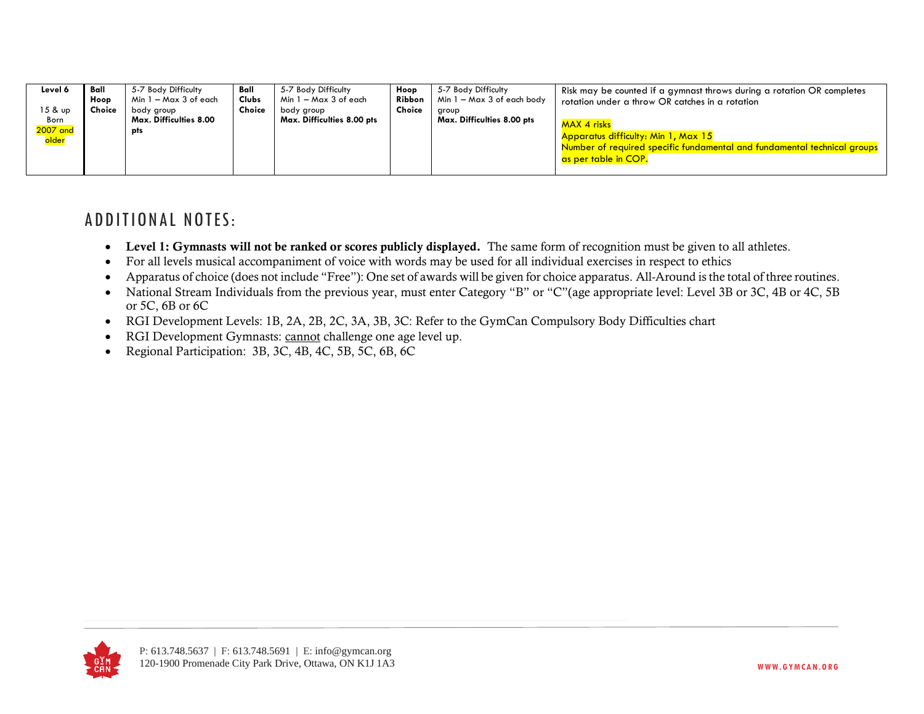| Level 6<br>15 & up<br>Born<br>2007 and<br><mark>older</mark> | Ball<br>Hoop<br>Choice | 5-7 Body Difficulty<br>Min 1 – Max 3 of each<br>body group<br>Max. Difficulties 8.00<br>pts | Ball<br><b>Clubs</b><br>Choice | 5-7 Body Difficulty<br>Min 1 – Max 3 of each<br>body group<br>Max. Difficulties 8.00 pts | Hoop<br>Ribbon<br>Choice | 5-7 Body Difficulty<br>Min 1 – Max 3 of each body<br>group<br>Max. Difficulties 8.00 pts | Risk may be counted if a gymnast throws during a rotation OR completes<br>rotation under a throw OR catches in a rotation<br>MAX 4 risks<br>Apparatus difficulty: Min 1, Max 15<br>Number of required specific fundamental and fundamental technical groups<br>as per table in COP. |
|--------------------------------------------------------------|------------------------|---------------------------------------------------------------------------------------------|--------------------------------|------------------------------------------------------------------------------------------|--------------------------|------------------------------------------------------------------------------------------|-------------------------------------------------------------------------------------------------------------------------------------------------------------------------------------------------------------------------------------------------------------------------------------|
|--------------------------------------------------------------|------------------------|---------------------------------------------------------------------------------------------|--------------------------------|------------------------------------------------------------------------------------------|--------------------------|------------------------------------------------------------------------------------------|-------------------------------------------------------------------------------------------------------------------------------------------------------------------------------------------------------------------------------------------------------------------------------------|

## ADDITIONAL NOTES:

- Level 1: Gymnasts will not be ranked or scores publicly displayed. The same form of recognition must be given to all athletes.
- For all levels musical accompaniment of voice with words may be used for all individual exercises in respect to ethics
- Apparatus of choice (does not include "Free"): One set of awards will be given for choice apparatus. All-Around is the total of three routines.
- National Stream Individuals from the previous year, must enter Category "B" or "C"(age appropriate level: Level 3B or 3C, 4B or 4C, 5B or 5C, 6B or 6C
- RGI Development Levels: 1B, 2A, 2B, 2C, 3A, 3B, 3C: Refer to the GymCan Compulsory Body Difficulties chart
- RGI Development Gymnasts: cannot challenge one age level up.
- Regional Participation: 3B, 3C, 4B, 4C, 5B, 5C, 6B, 6C

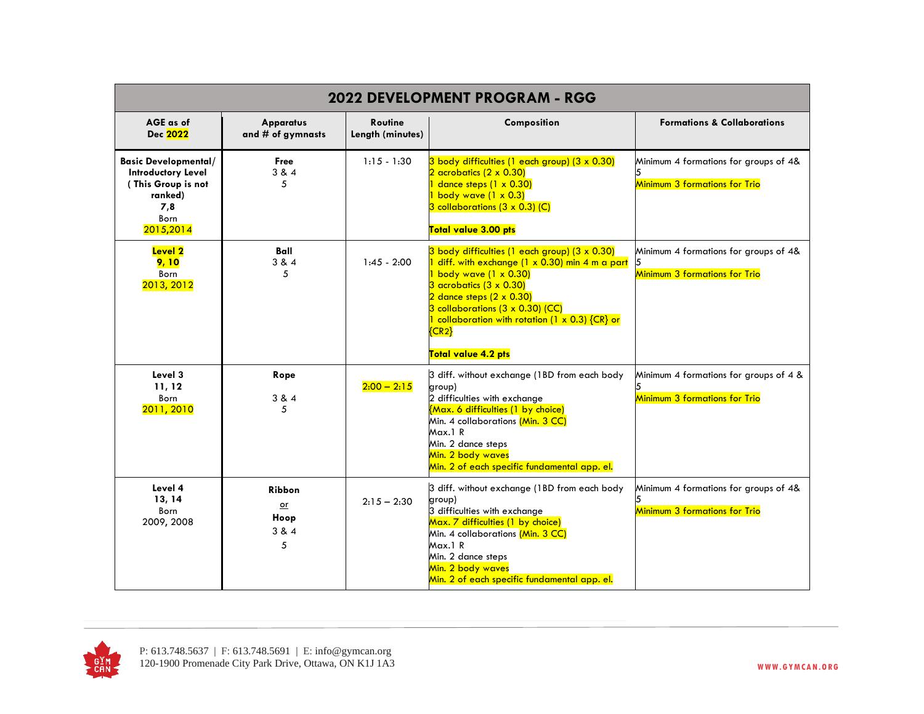| 2022 DEVELOPMENT PROGRAM - RGG                                                                                        |                                          |                                    |                                                                                                                                                                                                                                                                                                                                      |                                                                                |  |  |
|-----------------------------------------------------------------------------------------------------------------------|------------------------------------------|------------------------------------|--------------------------------------------------------------------------------------------------------------------------------------------------------------------------------------------------------------------------------------------------------------------------------------------------------------------------------------|--------------------------------------------------------------------------------|--|--|
| AGE as of<br>Dec 2022                                                                                                 | <b>Apparatus</b><br>and # of gymnasts    | <b>Routine</b><br>Length (minutes) | Composition                                                                                                                                                                                                                                                                                                                          | <b>Formations &amp; Collaborations</b>                                         |  |  |
| <b>Basic Developmental/</b><br><b>Introductory Level</b><br>(This Group is not<br>ranked)<br>7,8<br>Born<br>2015,2014 | Free<br>3 & 4<br>5                       | $1:15 - 1:30$                      | 3 body difficulties (1 each group) (3 x 0.30)<br>$2$ acrobatics $(2 \times 0.30)$<br>dance steps $(1 \times 0.30)$<br><mark>1 body wave (1 x 0.3)</mark><br>$3$ collaborations ( $3 \times 0.3$ ) (C)<br>Total value 3.00 pts                                                                                                        | Minimum 4 formations for groups of 4&<br><b>Minimum 3 formations for Trio</b>  |  |  |
| <b>Level 2</b><br>9, 10<br>Born<br>2013, 2012                                                                         | Ball<br>3 & 4<br>5                       | $1:45 - 2:00$                      | 3 body difficulties (1 each group) (3 x 0.30)<br>diff. with exchange (1 x 0.30) min 4 m a part<br>$1$ body wave $(1 \times 0.30)$<br>$3$ acrobatics $(3 \times 0.30)$<br>$2$ dance steps $(2 \times 0.30)$<br>3 collaborations (3 x 0.30) (CC)<br>1 collaboration with rotation (1 x 0.3) {CR} or<br>${C_R2}$<br>Total value 4.2 pts | Minimum 4 formations for groups of 4&<br><b>Minimum 3 formations for Trio</b>  |  |  |
| Level 3<br>11, 12<br>Born<br>2011, 2010                                                                               | Rope<br>3 & 4<br>5                       | $2:00 - 2:15$                      | 3 diff. without exchange (1BD from each body<br>group)<br>2 difficulties with exchange<br>{Max. 6 difficulties (1 by choice)<br>Min. 4 collaborations (Min. 3 CC)<br>Max.1 R<br>Min. 2 dance steps<br>Min. 2 body waves<br>Min. 2 of each specific fundamental app. el.                                                              | Minimum 4 formations for groups of 4 &<br><b>Minimum 3 formations for Trio</b> |  |  |
| Level 4<br>13, 14<br>Born<br>2009, 2008                                                                               | Ribbon<br>$\alpha$<br>Hoop<br>3 & 4<br>5 | $2:15 - 2:30$                      | 3 diff. without exchange (1BD from each body<br>group)<br>3 difficulties with exchange<br>Max. 7 difficulties (1 by choice)<br>Min. 4 collaborations (Min. 3 CC)<br>Max.1 R<br>Min. 2 dance steps<br>Min. 2 body waves<br>Min. 2 of each specific fundamental app. el.                                                               | Minimum 4 formations for groups of 4&<br>Minimum 3 formations for Trio         |  |  |

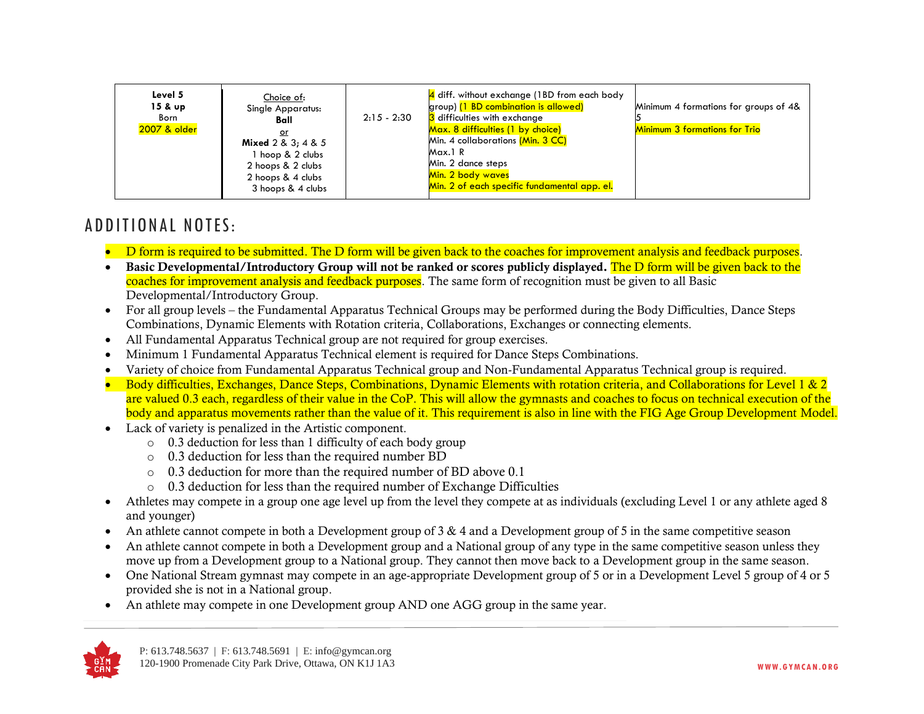| Level 5<br>$15 & \text{up}$<br>Born<br>2007 & older | Choice of:<br><b>Single Apparatus:</b><br>Ball<br>or<br>Mixed $2 & 3$ ; $4 & 5$<br>hoop & 2 clubs<br>2 hoops & 2 clubs<br>2 hoops & 4 clubs<br>3 hoops & 4 clubs | $2:15 - 2:30$ | 4 diff. without exchange (1BD from each body<br>group) (1 BD combination is allowed)<br>3 difficulties with exchange<br>Max. 8 difficulties (1 by choice)<br>Min. 4 collaborations (Min. 3 CC)<br>Max.1 R<br>Min. 2 dance steps<br>Min. 2 body waves<br>Min. 2 of each specific fundamental app. el. | Minimum 4 formations for groups of 4&<br><b>Minimum 3 formations for Trio</b> |
|-----------------------------------------------------|------------------------------------------------------------------------------------------------------------------------------------------------------------------|---------------|------------------------------------------------------------------------------------------------------------------------------------------------------------------------------------------------------------------------------------------------------------------------------------------------------|-------------------------------------------------------------------------------|
|-----------------------------------------------------|------------------------------------------------------------------------------------------------------------------------------------------------------------------|---------------|------------------------------------------------------------------------------------------------------------------------------------------------------------------------------------------------------------------------------------------------------------------------------------------------------|-------------------------------------------------------------------------------|

## ADDITIONAL NOTES:

- D form is required to be submitted. The D form will be given back to the coaches for improvement analysis and feedback purposes.
- Basic Developmental/Introductory Group will not be ranked or scores publicly displayed. The D form will be given back to the coaches for improvement analysis and feedback purposes. The same form of recognition must be given to all Basic Developmental/Introductory Group.
- For all group levels the Fundamental Apparatus Technical Groups may be performed during the Body Difficulties, Dance Steps Combinations, Dynamic Elements with Rotation criteria, Collaborations, Exchanges or connecting elements.
- All Fundamental Apparatus Technical group are not required for group exercises.
- Minimum 1 Fundamental Apparatus Technical element is required for Dance Steps Combinations.
- Variety of choice from Fundamental Apparatus Technical group and Non-Fundamental Apparatus Technical group is required.
- Body difficulties, Exchanges, Dance Steps, Combinations, Dynamic Elements with rotation criteria, and Collaborations for Level 1 & 2 are valued 0.3 each, regardless of their value in the CoP. This will allow the gymnasts and coaches to focus on technical execution of the body and apparatus movements rather than the value of it. This requirement is also in line with the FIG Age Group Development Model.
- Lack of variety is penalized in the Artistic component.
	- o 0.3 deduction for less than 1 difficulty of each body group
	- o 0.3 deduction for less than the required number BD
	- o 0.3 deduction for more than the required number of BD above 0.1
	- $\circ$  0.3 deduction for less than the required number of Exchange Difficulties
- Athletes may compete in a group one age level up from the level they compete at as individuals (excluding Level 1 or any athlete aged 8 and younger)
- An athlete cannot compete in both a Development group of 3 & 4 and a Development group of 5 in the same competitive season
- An athlete cannot compete in both a Development group and a National group of any type in the same competitive season unless they move up from a Development group to a National group. They cannot then move back to a Development group in the same season.
- One National Stream gymnast may compete in an age-appropriate Development group of 5 or in a Development Level 5 group of 4 or 5 provided she is not in a National group.
- An athlete may compete in one Development group AND one AGG group in the same year.